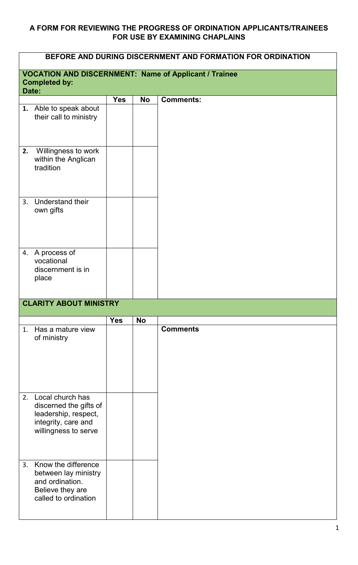## **A FORM FOR REVIEWING THE PROGRESS OF ORDINATION APPLICANTS/TRAINEES FOR USE BY EXAMINING CHAPLAINS**

| BEFORE AND DURING DISCERNMENT AND FORMATION FOR ORDINATION   |                                                                                                                      |            |           |                  |  |
|--------------------------------------------------------------|----------------------------------------------------------------------------------------------------------------------|------------|-----------|------------------|--|
| <b>VOCATION AND DISCERNMENT: Name of Applicant / Trainee</b> |                                                                                                                      |            |           |                  |  |
|                                                              | <b>Completed by:</b><br>Date:                                                                                        |            |           |                  |  |
|                                                              |                                                                                                                      | <b>Yes</b> | <b>No</b> | <b>Comments:</b> |  |
|                                                              | 1. Able to speak about<br>their call to ministry                                                                     |            |           |                  |  |
| 2.                                                           | Willingness to work<br>within the Anglican<br>tradition                                                              |            |           |                  |  |
| 3.                                                           | <b>Understand their</b><br>own gifts                                                                                 |            |           |                  |  |
|                                                              | 4. A process of<br>vocational<br>discernment is in<br>place                                                          |            |           |                  |  |
|                                                              | <b>CLARITY ABOUT MINISTRY</b>                                                                                        |            |           |                  |  |
|                                                              |                                                                                                                      | <b>Yes</b> | <b>No</b> |                  |  |
|                                                              | 1. Has a mature view<br>of ministry                                                                                  |            |           | <b>Comments</b>  |  |
|                                                              | 2. Local church has<br>discerned the gifts of<br>leadership, respect,<br>integrity, care and<br>willingness to serve |            |           |                  |  |
|                                                              | 3. Know the difference<br>between lay ministry<br>and ordination.<br>Believe they are<br>called to ordination        |            |           |                  |  |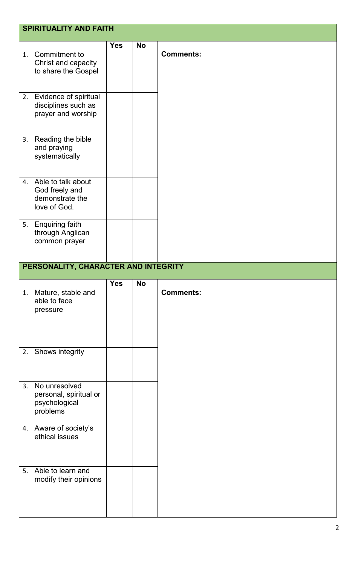|    | <b>SPIRITUALITY AND FAITH</b>                                           |            |           |                  |  |
|----|-------------------------------------------------------------------------|------------|-----------|------------------|--|
|    |                                                                         | <b>Yes</b> | <b>No</b> |                  |  |
| 1. | Commitment to<br>Christ and capacity<br>to share the Gospel             |            |           | <b>Comments:</b> |  |
| 2. | Evidence of spiritual<br>disciplines such as<br>prayer and worship      |            |           |                  |  |
|    | 3. Reading the bible<br>and praying<br>systematically                   |            |           |                  |  |
| 4. | Able to talk about<br>God freely and<br>demonstrate the<br>love of God. |            |           |                  |  |
|    | 5. Enquiring faith<br>through Anglican<br>common prayer                 |            |           |                  |  |
|    | PERSONALITY, CHARACTER AND INTEGRITY                                    |            |           |                  |  |
|    |                                                                         | <b>Yes</b> | <b>No</b> |                  |  |
| 1. | Mature, stable and<br>able to face<br>pressure                          |            |           | <b>Comments:</b> |  |
|    | 2. Shows integrity                                                      |            |           |                  |  |
| 3. | No unresolved<br>personal, spiritual or<br>psychological<br>problems    |            |           |                  |  |
|    | 4. Aware of society's<br>ethical issues                                 |            |           |                  |  |
|    |                                                                         |            |           |                  |  |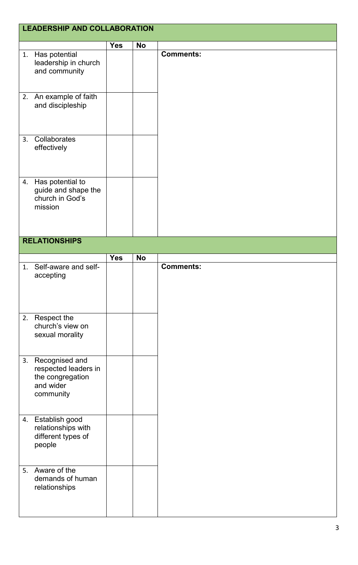|    | <b>LEADERSHIP AND COLLABORATION</b>                                                  |            |           |                  |  |  |
|----|--------------------------------------------------------------------------------------|------------|-----------|------------------|--|--|
|    |                                                                                      | <b>Yes</b> | <b>No</b> |                  |  |  |
|    | 1. Has potential<br>leadership in church<br>and community                            |            |           | <b>Comments:</b> |  |  |
|    | 2. An example of faith<br>and discipleship                                           |            |           |                  |  |  |
| 3. | Collaborates<br>effectively                                                          |            |           |                  |  |  |
|    | 4. Has potential to<br>guide and shape the<br>church in God's<br>mission             |            |           |                  |  |  |
|    | <b>RELATIONSHIPS</b>                                                                 |            |           |                  |  |  |
|    |                                                                                      | <b>Yes</b> | <b>No</b> |                  |  |  |
| 1. | Self-aware and self-<br>accepting                                                    |            |           | <b>Comments:</b> |  |  |
|    | 2. Respect the<br>church's view on<br>sexual morality                                |            |           |                  |  |  |
| 3. | Recognised and<br>respected leaders in<br>the congregation<br>and wider<br>community |            |           |                  |  |  |
| 4. | Establish good<br>relationships with<br>different types of<br>people                 |            |           |                  |  |  |
| 5. | Aware of the<br>demands of human<br>relationships                                    |            |           |                  |  |  |